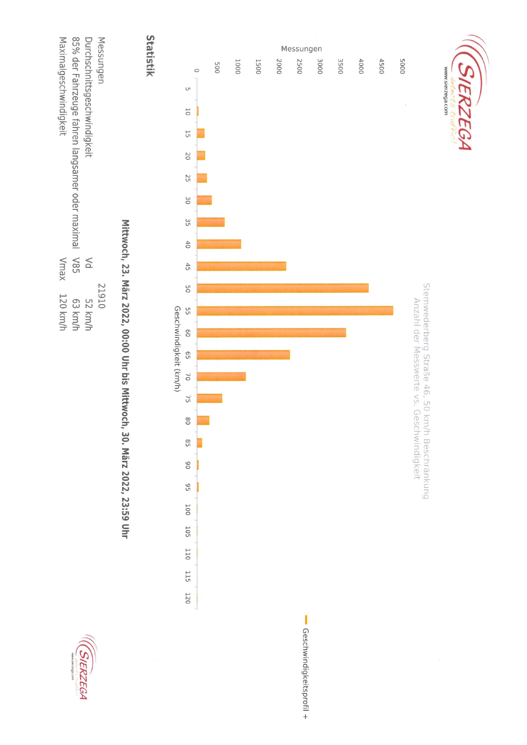



## Mittwoch, 23. März 2022, 00:00 Uhr bis Mittwoch, 30. März 2022, 23:59 Uhr

Statistik



SIERZEGA

www.sierzega.com